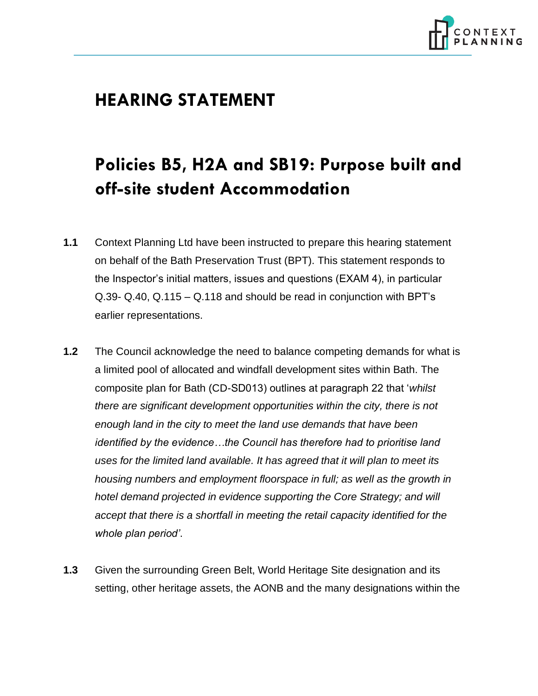

## **HEARING STATEMENT**

## **Policies B5, H2A and SB19: Purpose built and off-site student Accommodation**

- **1.1** Context Planning Ltd have been instructed to prepare this hearing statement on behalf of the Bath Preservation Trust (BPT). This statement responds to the Inspector's initial matters, issues and questions (EXAM 4), in particular Q.39- Q.40, Q.115 – Q.118 and should be read in conjunction with BPT's earlier representations.
- **1.2** The Council acknowledge the need to balance competing demands for what is a limited pool of allocated and windfall development sites within Bath. The composite plan for Bath (CD-SD013) outlines at paragraph 22 that '*whilst there are significant development opportunities within the city, there is not enough land in the city to meet the land use demands that have been identified by the evidence…the Council has therefore had to prioritise land uses for the limited land available. It has agreed that it will plan to meet its housing numbers and employment floorspace in full; as well as the growth in hotel demand projected in evidence supporting the Core Strategy; and will accept that there is a shortfall in meeting the retail capacity identified for the whole plan period'*.
- **1.3** Given the surrounding Green Belt, World Heritage Site designation and its setting, other heritage assets, the AONB and the many designations within the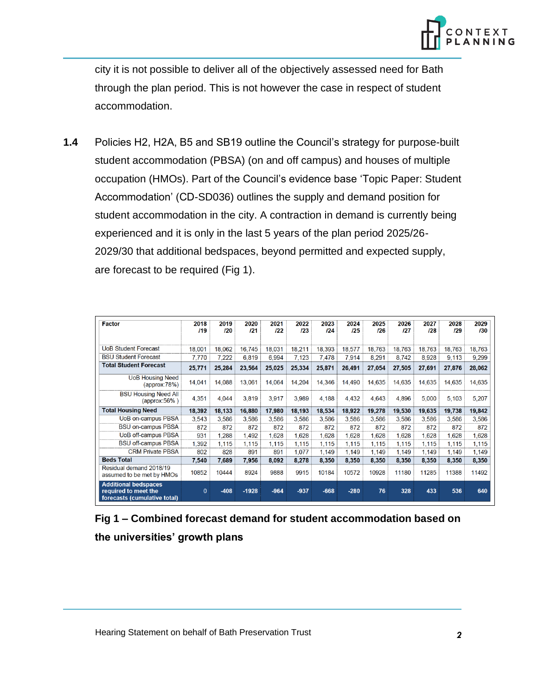

city it is not possible to deliver all of the objectively assessed need for Bath through the plan period. This is not however the case in respect of student accommodation.

**1.4** Policies H2, H2A, B5 and SB19 outline the Council's strategy for purpose-built student accommodation (PBSA) (on and off campus) and houses of multiple occupation (HMOs). Part of the Council's evidence base 'Topic Paper: Student Accommodation' (CD-SD036) outlines the supply and demand position for student accommodation in the city. A contraction in demand is currently being experienced and it is only in the last 5 years of the plan period 2025/26- 2029/30 that additional bedspaces, beyond permitted and expected supply, are forecast to be required (Fig 1).

| <b>Factor</b>                                                                       | 2018<br>119  | 2019<br>120 | 2020<br>121 | 2021<br>122 | 2022<br>123 | 2023<br>124 | 2024<br>125 | 2025<br>126 | 2026<br>127 | 2027<br>128 | 2028<br>129 | 2029<br>130 |
|-------------------------------------------------------------------------------------|--------------|-------------|-------------|-------------|-------------|-------------|-------------|-------------|-------------|-------------|-------------|-------------|
|                                                                                     |              |             |             |             |             |             |             |             |             |             |             |             |
| <b>UoB Student Forecast</b>                                                         | 18,001       | 18,062      | 16,745      | 18,031      | 18,211      | 18,393      | 18,577      | 18,763      | 18,763      | 18,763      | 18,763      | 18,763      |
| <b>BSU Student Forecast</b>                                                         | 7,770        | 7,222       | 6.819       | 6.994       | 7,123       | 7.478       | 7,914       | 8,291       | 8,742       | 8,928       | 9,113       | 9,299       |
| <b>Total Student Forecast</b>                                                       | 25,771       | 25,284      | 23,564      | 25,025      | 25,334      | 25,871      | 26,491      | 27,054      | 27,505      | 27,691      | 27,876      | 28,062      |
| <b>UoB Housing Need</b><br>$\langle$ approx:78%)                                    | 14.041       | 14.088      | 13.061      | 14.064      | 14.204      | 14.346      | 14.490      | 14,635      | 14.635      | 14.635      | 14,635      | 14,635      |
| <b>BSU Housing Need All</b><br>(approx:56%)                                         | 4.351        | 4.044       | 3,819       | 3.917       | 3,989       | 4.188       | 4.432       | 4.643       | 4.896       | 5,000       | 5,103       | 5,207       |
| <b>Total Housing Need</b>                                                           | 18,392       | 18,133      | 16,880      | 17,980      | 18,193      | 18,534      | 18,922      | 19,278      | 19,530      | 19,635      | 19,738      | 19,842      |
| UoB on-campus PBSA                                                                  | 3,543        | 3.586       | 3,586       | 3.586       | 3,586       | 3,586       | 3,586       | 3,586       | 3,586       | 3,586       | 3,586       | 3,586       |
| <b>BSU on-campus PBSA</b>                                                           | 872          | 872         | 872         | 872         | 872         | 872         | 872         | 872         | 872         | 872         | 872         | 872         |
| UoB off-campus PBSA                                                                 | 931          | 1,288       | 1,492       | 1,628       | 1,628       | 1,628       | 1,628       | 1,628       | 1,628       | 1,628       | 1,628       | 1,628       |
| <b>BSU off-campus PBSA</b>                                                          | 1.392        | 1.115       | 1,115       | 1.115       | 1,115       | 1.115       | 1.115       | 1.115       | 1.115       | 1,115       | 1,115       | 1.115       |
| <b>CRM Private PBSA</b>                                                             | 802          | 828         | 891         | 891         | 1,077       | 1.149       | 1.149       | 1.149       | 1.149       | 1,149       | 1.149       | 1,149       |
| <b>Beds Total</b>                                                                   | 7,540        | 7,689       | 7,956       | 8,092       | 8,278       | 8,350       | 8,350       | 8,350       | 8,350       | 8,350       | 8,350       | 8,350       |
| Residual demand 2018/19<br>assumed to be met by HMOs                                | 10852        | 10444       | 8924        | 9888        | 9915        | 10184       | 10572       | 10928       | 11180       | 11285       | 11388       | 11492       |
| <b>Additional bedspaces</b><br>required to meet the<br>forecasts (cumulative total) | $\mathbf{0}$ | $-408$      | $-1928$     | $-964$      | $-937$      | $-668$      | $-280$      | 76          | 328         | 433         | 536         | 640         |

## **Fig 1 – Combined forecast demand for student accommodation based on the universities' growth plans**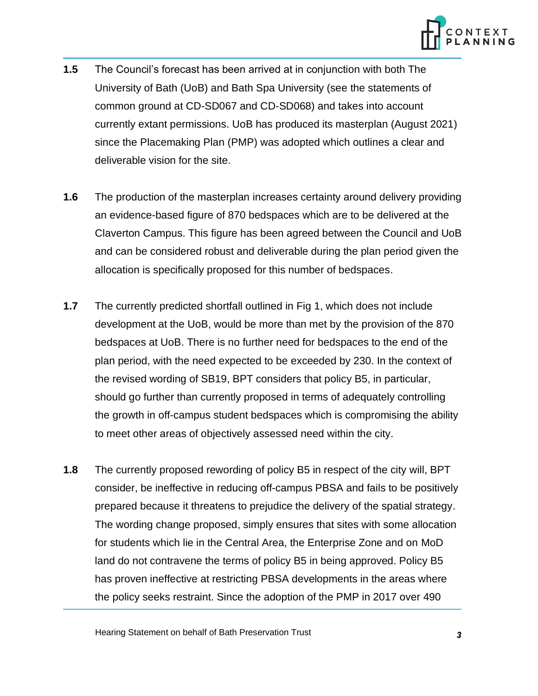

- **1.5** The Council's forecast has been arrived at in conjunction with both The University of Bath (UoB) and Bath Spa University (see the statements of common ground at CD-SD067 and CD-SD068) and takes into account currently extant permissions. UoB has produced its masterplan (August 2021) since the Placemaking Plan (PMP) was adopted which outlines a clear and deliverable vision for the site.
- **1.6** The production of the masterplan increases certainty around delivery providing an evidence-based figure of 870 bedspaces which are to be delivered at the Claverton Campus. This figure has been agreed between the Council and UoB and can be considered robust and deliverable during the plan period given the allocation is specifically proposed for this number of bedspaces.
- **1.7** The currently predicted shortfall outlined in Fig 1, which does not include development at the UoB, would be more than met by the provision of the 870 bedspaces at UoB. There is no further need for bedspaces to the end of the plan period, with the need expected to be exceeded by 230. In the context of the revised wording of SB19, BPT considers that policy B5, in particular, should go further than currently proposed in terms of adequately controlling the growth in off-campus student bedspaces which is compromising the ability to meet other areas of objectively assessed need within the city.
- **1.8** The currently proposed rewording of policy B5 in respect of the city will, BPT consider, be ineffective in reducing off-campus PBSA and fails to be positively prepared because it threatens to prejudice the delivery of the spatial strategy. The wording change proposed, simply ensures that sites with some allocation for students which lie in the Central Area, the Enterprise Zone and on MoD land do not contravene the terms of policy B5 in being approved. Policy B5 has proven ineffective at restricting PBSA developments in the areas where the policy seeks restraint. Since the adoption of the PMP in 2017 over 490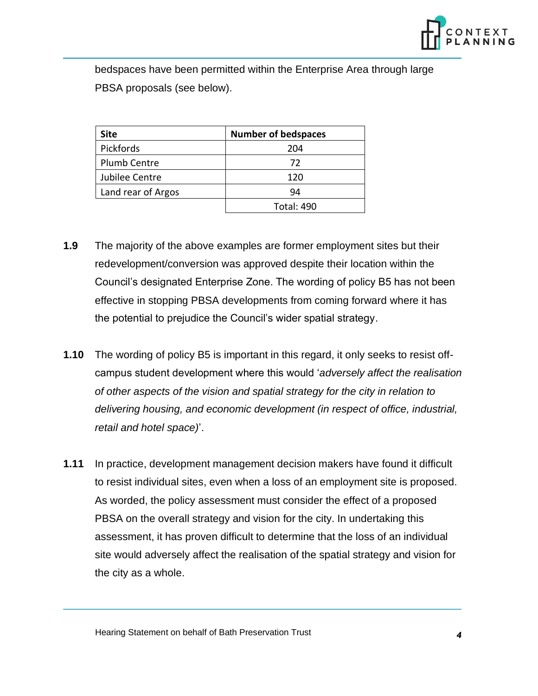

bedspaces have been permitted within the Enterprise Area through large PBSA proposals (see below).

| <b>Site</b>         | <b>Number of bedspaces</b> |  |  |  |  |
|---------------------|----------------------------|--|--|--|--|
| Pickfords           | 204                        |  |  |  |  |
| <b>Plumb Centre</b> | 72                         |  |  |  |  |
| Jubilee Centre      | 120                        |  |  |  |  |
| Land rear of Argos  | 94                         |  |  |  |  |
|                     | <b>Total: 490</b>          |  |  |  |  |

- **1.9** The majority of the above examples are former employment sites but their redevelopment/conversion was approved despite their location within the Council's designated Enterprise Zone. The wording of policy B5 has not been effective in stopping PBSA developments from coming forward where it has the potential to prejudice the Council's wider spatial strategy.
- **1.10** The wording of policy B5 is important in this regard, it only seeks to resist offcampus student development where this would '*adversely affect the realisation of other aspects of the vision and spatial strategy for the city in relation to delivering housing, and economic development (in respect of office, industrial, retail and hotel space)*'.
- **1.11** In practice, development management decision makers have found it difficult to resist individual sites, even when a loss of an employment site is proposed. As worded, the policy assessment must consider the effect of a proposed PBSA on the overall strategy and vision for the city. In undertaking this assessment, it has proven difficult to determine that the loss of an individual site would adversely affect the realisation of the spatial strategy and vision for the city as a whole.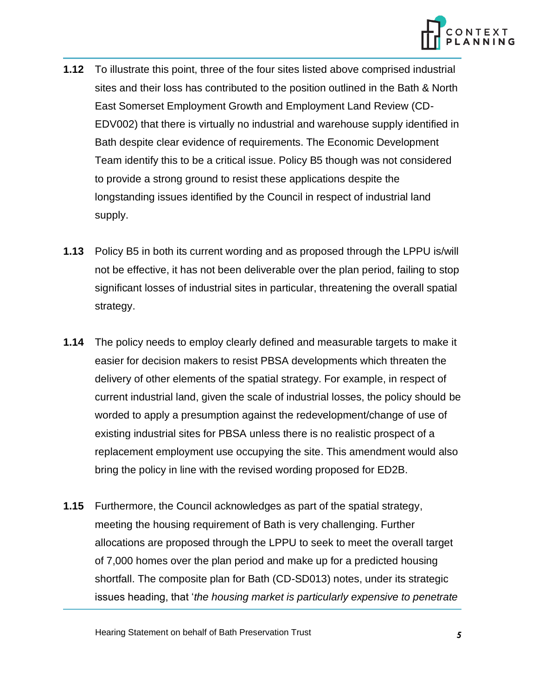

- **1.12** To illustrate this point, three of the four sites listed above comprised industrial sites and their loss has contributed to the position outlined in the Bath & North East Somerset Employment Growth and Employment Land Review (CD-EDV002) that there is virtually no industrial and warehouse supply identified in Bath despite clear evidence of requirements. The Economic Development Team identify this to be a critical issue. Policy B5 though was not considered to provide a strong ground to resist these applications despite the longstanding issues identified by the Council in respect of industrial land supply.
- **1.13** Policy B5 in both its current wording and as proposed through the LPPU is/will not be effective, it has not been deliverable over the plan period, failing to stop significant losses of industrial sites in particular, threatening the overall spatial strategy.
- **1.14** The policy needs to employ clearly defined and measurable targets to make it easier for decision makers to resist PBSA developments which threaten the delivery of other elements of the spatial strategy. For example, in respect of current industrial land, given the scale of industrial losses, the policy should be worded to apply a presumption against the redevelopment/change of use of existing industrial sites for PBSA unless there is no realistic prospect of a replacement employment use occupying the site. This amendment would also bring the policy in line with the revised wording proposed for ED2B.
- **1.15** Furthermore, the Council acknowledges as part of the spatial strategy, meeting the housing requirement of Bath is very challenging. Further allocations are proposed through the LPPU to seek to meet the overall target of 7,000 homes over the plan period and make up for a predicted housing shortfall. The composite plan for Bath (CD-SD013) notes, under its strategic issues heading, that '*the housing market is particularly expensive to penetrate*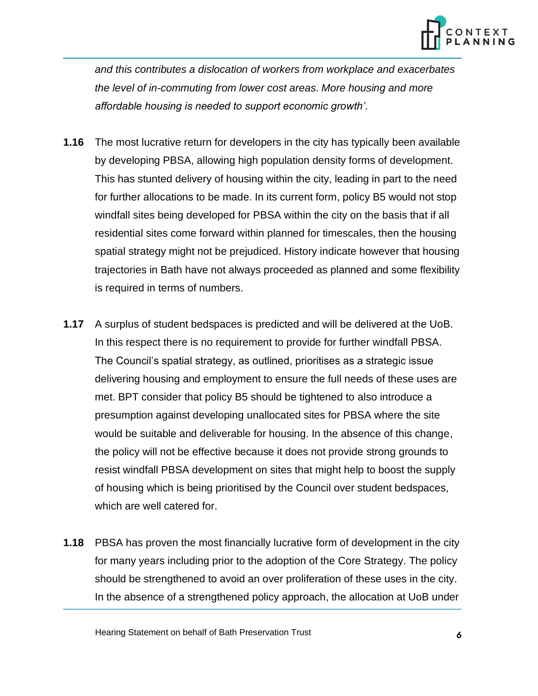

*and this contributes a dislocation of workers from workplace and exacerbates the level of in-commuting from lower cost areas. More housing and more affordable housing is needed to support economic growth'*.

- **1.16** The most lucrative return for developers in the city has typically been available by developing PBSA, allowing high population density forms of development. This has stunted delivery of housing within the city, leading in part to the need for further allocations to be made. In its current form, policy B5 would not stop windfall sites being developed for PBSA within the city on the basis that if all residential sites come forward within planned for timescales, then the housing spatial strategy might not be prejudiced. History indicate however that housing trajectories in Bath have not always proceeded as planned and some flexibility is required in terms of numbers.
- **1.17** A surplus of student bedspaces is predicted and will be delivered at the UoB. In this respect there is no requirement to provide for further windfall PBSA. The Council's spatial strategy, as outlined, prioritises as a strategic issue delivering housing and employment to ensure the full needs of these uses are met. BPT consider that policy B5 should be tightened to also introduce a presumption against developing unallocated sites for PBSA where the site would be suitable and deliverable for housing. In the absence of this change, the policy will not be effective because it does not provide strong grounds to resist windfall PBSA development on sites that might help to boost the supply of housing which is being prioritised by the Council over student bedspaces, which are well catered for.
- **1.18** PBSA has proven the most financially lucrative form of development in the city for many years including prior to the adoption of the Core Strategy. The policy should be strengthened to avoid an over proliferation of these uses in the city. In the absence of a strengthened policy approach, the allocation at UoB under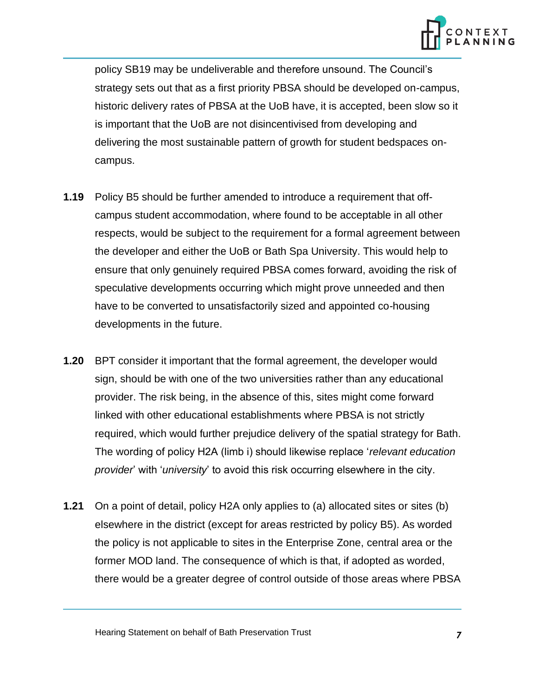

policy SB19 may be undeliverable and therefore unsound. The Council's strategy sets out that as a first priority PBSA should be developed on-campus, historic delivery rates of PBSA at the UoB have, it is accepted, been slow so it is important that the UoB are not disincentivised from developing and delivering the most sustainable pattern of growth for student bedspaces oncampus.

- **1.19** Policy B5 should be further amended to introduce a requirement that offcampus student accommodation, where found to be acceptable in all other respects, would be subject to the requirement for a formal agreement between the developer and either the UoB or Bath Spa University. This would help to ensure that only genuinely required PBSA comes forward, avoiding the risk of speculative developments occurring which might prove unneeded and then have to be converted to unsatisfactorily sized and appointed co-housing developments in the future.
- **1.20** BPT consider it important that the formal agreement, the developer would sign, should be with one of the two universities rather than any educational provider. The risk being, in the absence of this, sites might come forward linked with other educational establishments where PBSA is not strictly required, which would further prejudice delivery of the spatial strategy for Bath. The wording of policy H2A (limb i) should likewise replace '*relevant education provider*' with '*university*' to avoid this risk occurring elsewhere in the city.
- **1.21** On a point of detail, policy H2A only applies to (a) allocated sites or sites (b) elsewhere in the district (except for areas restricted by policy B5). As worded the policy is not applicable to sites in the Enterprise Zone, central area or the former MOD land. The consequence of which is that, if adopted as worded, there would be a greater degree of control outside of those areas where PBSA